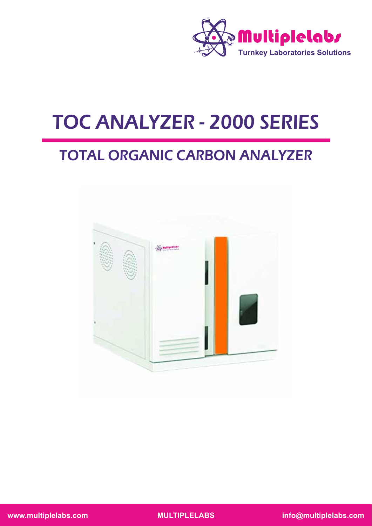

# TOC ANALYZER - 2000 SERIES

# TOTAL ORGANIC CARBON ANALYZER

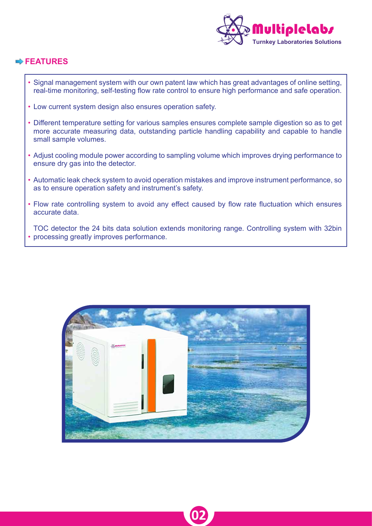

# **FEATURES**

- Signal management system with our own patent law which has great advantages of online setting, real-time monitoring, self-testing flow rate control to ensure high performance and safe operation. •
- Low current system design also ensures operation safety. •
- Different temperature setting for various samples ensures complete sample digestion so as to get more accurate measuring data, outstanding particle handling capability and capable to handle small sample volumes.
- Adjust cooling module power according to sampling volume which improves drying performance to ensure dry gas into the detector.
- Automatic leak check system to avoid operation mistakes and improve instrument performance, so as to ensure operation safety and instrument's safety.
- Flow rate controlling system to avoid any effect caused by flow rate fluctuation which ensures accurate data.

TOC detector the 24 bits data solution extends monitoring range. Controlling system with 32bin processing greatly improves performance. •



**02**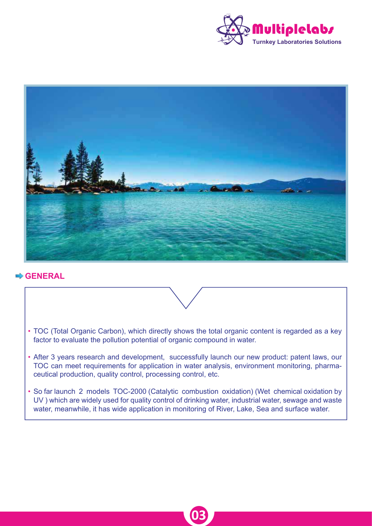



# **GENERAL**

- TOC (Total Organic Carbon), which directly shows the total organic content is regarded as a key factor to evaluate the pollution potential of organic compound in water.
- After 3 years research and development, successfully launch our new product: patent laws, our TOC can meet requirements for application in water analysis, environment monitoring, pharmaceutical production, quality control, processing control, etc.
- So far launch 2 models TOC-2000 (Catalytic combustion oxidation) (Wet chemical oxidation by UV ) which are widely used for quality control of drinking water, industrial water, sewage and waste water, meanwhile, it has wide application in monitoring of River, Lake, Sea and surface water.

**03**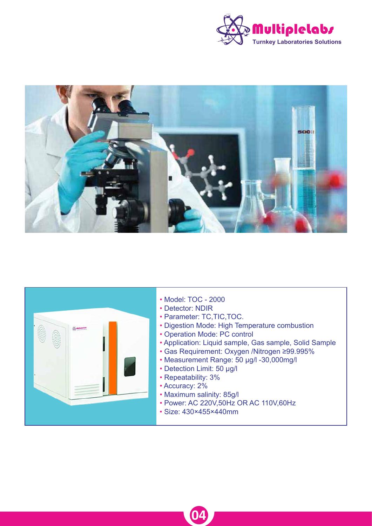





**04**